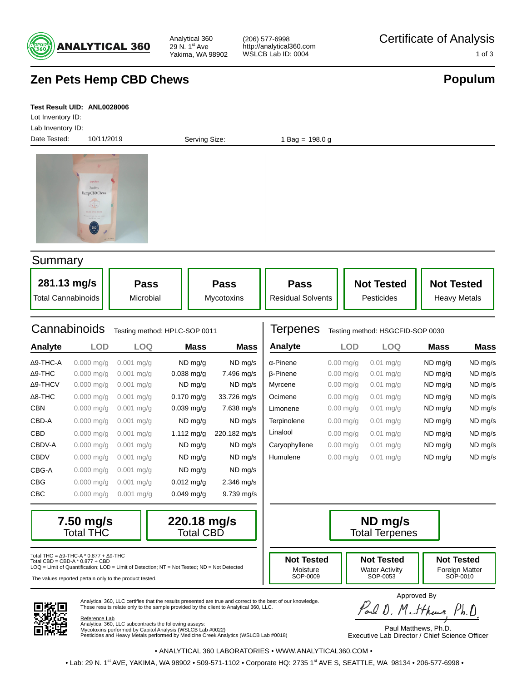

Analytical 360 29 N. 1st Ave Yakima, WA 98902 (206) 577-6998 http://analytical360.com

**Populum**

# **Zen Pets Hemp CBD Chews**

#### **Test Result UID: ANL0028006**

Date Tested: 10/11/2019 Lot Inventory ID: Lab Inventory ID:

Serving Size: 1 Bag = 198.0 g



#### **Summary**

| 281.13 mg/s        | <b>Pass</b> | <b>Pass</b>       | <b>Pass</b>              | <b>Not Tested</b> | <b>Not Tested</b>   |
|--------------------|-------------|-------------------|--------------------------|-------------------|---------------------|
| Total Cannabinoids | Microbial   | <b>Mycotoxins</b> | <b>Residual Solvents</b> | Pesticides        | <b>Heavy Metals</b> |

# Cannabinoids Testing method: HPLC-SOP 0011

| Analyte          | <b>LOD</b>               | LOQ          | <b>Mass</b>  | <b>Mass</b>  | Analyte          |
|------------------|--------------------------|--------------|--------------|--------------|------------------|
| $\Delta$ 9-THC-A | $0.000$ mg/g             | $0.001$ mg/g | $ND$ mg/g    | ND mg/s      | $\alpha$ -Pinene |
| $\Delta$ 9-THC   | $0.000$ mg/g             | $0.001$ mg/g | $0.038$ mg/g | 7.496 mg/s   | <b>B-Pinene</b>  |
| Δ9-THCV          | $0.000$ mg/g             | $0.001$ mg/g | $ND$ mg/g    | ND mg/s      | Myrcene          |
| $\Delta$ 8-THC   | $0.000 \,\mathrm{mag/s}$ | $0.001$ mg/g | $0.170$ mg/g | 33.726 mg/s  | Ocimene          |
| <b>CBN</b>       | $0.000$ mg/g             | $0.001$ mg/g | $0.039$ mg/g | 7.638 mg/s   | Limonene         |
| CBD-A            | $0.000$ mg/g             | $0.001$ mg/g | $ND$ mg/g    | ND mg/s      | Terpinolen       |
| <b>CBD</b>       | $0.000$ mg/g             | $0.001$ mg/g | $1.112$ mg/g | 220.182 mg/s | Linalool         |
| CBDV-A           | $0.000$ mg/g             | $0.001$ mg/g | $ND$ mg/g    | ND mg/s      | Caryophyl        |
| <b>CBDV</b>      | $0.000$ mg/g             | $0.001$ mg/g | ND mg/g      | ND mg/s      | Humulene         |
| CBG-A            | $0.000$ mg/g             | $0.001$ mg/g | ND mg/g      | ND mg/s      |                  |
| <b>CBG</b>       | $0.000$ mg/g             | $0.001$ mg/g | $0.012$ mg/g | $2.346$ mg/s |                  |
| CBC              | $0.000$ mg/g             | $0.001$ mg/g | $0.049$ mg/g | $9.739$ mg/s |                  |
|                  |                          |              |              |              |                  |

#### Terpenes Testing method: HSGCFID-SOP 0030 **Mass Mass Mass Mass LOD LOQ**

| And y tu        | └─          | ∟∪ບ         | маээ    | IVIQJJ  |
|-----------------|-------------|-------------|---------|---------|
| α-Pinene        | $0.00$ mg/g | $0.01$ mg/g | ND mg/g | ND mg/s |
| <b>B-Pinene</b> | $0.00$ mg/g | $0.01$ mg/g | ND mg/g | ND mg/s |
| Myrcene         | $0.00$ mg/g | $0.01$ mg/g | ND mg/g | ND mg/s |
| Ocimene         | $0.00$ mg/g | $0.01$ mg/g | ND mg/g | ND mg/s |
| Limonene        | $0.00$ mg/g | $0.01$ mg/g | ND mg/g | ND mg/s |
| Terpinolene     | $0.00$ mg/g | $0.01$ mg/g | ND mg/g | ND mg/s |
| Linalool        | $0.00$ mg/g | $0.01$ mg/g | ND mg/g | ND mg/s |
| Caryophyllene   | $0.00$ mg/g | $0.01$ mg/g | ND mg/g | ND mg/s |
| Humulene        | $0.00$ mg/g | $0.01$ mg/g | ND mg/g | ND mg/s |





Analytical 360, LLC certifies that the results presented are true and correct to the best of our knowledge.



SOP-0053

LOQ = Limit of Quantification; LOD = Limit of Detection; NT = Not Tested; ND = Not Detected

The values reported pertain only to the product tested.



Approved By<br>Parl D. Mithus, Ph.D.

Reference Lab Analytical 360, LLC subcontracts the following assays: Mycotoxins performed by Capitol Analysis (WSLCB Lab #0022) Pesticides and Heavy Metals performed by Medicine Creek Analytics (WSLCB Lab #0018)

These results relate only to the sample provided by the client to Analytical 360, LLC.

Paul Matthews, Ph.D. Executive Lab Director / Chief Science Officer

• ANALYTICAL 360 LABORATORIES • WWW.ANALYTICAL360.COM •

• Lab: 29 N. 1<sup>st</sup> AVE, YAKIMA, WA 98902 • 509-571-1102 • Corporate HQ: 2735 1<sup>st</sup> AVE S, SEATTLE, WA 98134 • 206-577-6998 •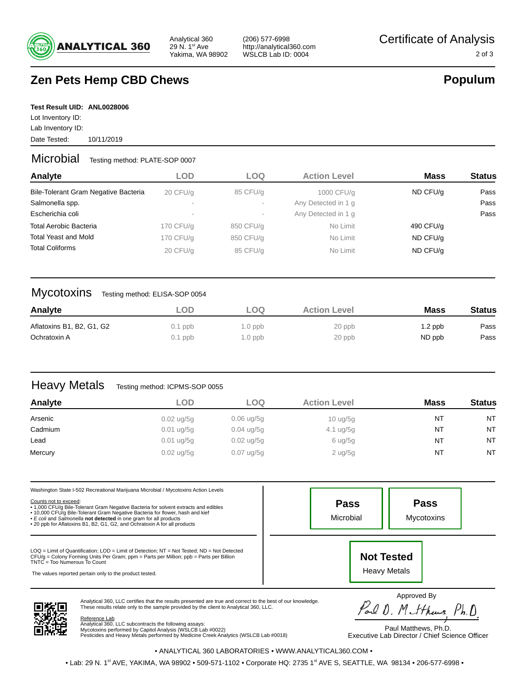

Analytical 360 29 N. 1st Ave Yakima, WA 98902

# **Zen Pets Hemp CBD Chews**

# **Populum**

**Test Result UID: ANL0028006**

Date Tested: 10/11/2019 Lot Inventory ID: Lab Inventory ID:

### Microbial Testing method: PLATE-SOP 0007

| Analyte                              | <b>LOD</b> | LOO       | <b>Action Level</b> | <b>Mass</b> | <b>Status</b> |
|--------------------------------------|------------|-----------|---------------------|-------------|---------------|
| Bile-Tolerant Gram Negative Bacteria | 20 CFU/q   | 85 CFU/g  | 1000 CFU/g          | ND CFU/g    | Pass          |
| Salmonella spp.                      | $\sim$     |           | Any Detected in 1 g |             | Pass          |
| Escherichia coli                     | $\sim$     | $\sim$    | Any Detected in 1 g |             | Pass          |
| <b>Total Aerobic Bacteria</b>        | 170 CFU/g  | 850 CFU/g | No Limit            | 490 CFU/g   |               |
| <b>Total Yeast and Mold</b>          | 170 CFU/g  | 850 CFU/g | No Limit            | ND CFU/g    |               |
| <b>Total Coliforms</b>               | 20 CFU/q   | 85 CFU/g  | No Limit            | ND CFU/g    |               |

### Mycotoxins Testing method: ELISA-SOP 0054

| Analyte                   | ∟OD       | LOO       | <b>Action Level</b> | <b>Mass</b> | <b>Status</b> |
|---------------------------|-----------|-----------|---------------------|-------------|---------------|
| Aflatoxins B1, B2, G1, G2 | $0.1$ ppb | $1.0$ ppb | 20 ppb              | $1.2$ ppb   | Pass          |
| Ochratoxin A              | $0.1$ ppb | $1.0$ ppb | 20 ppb              | ND ppb      | Pass          |

# Heavy Metals Testing method: ICPMS-SOP 0055

| Analyte | LOD                    | LOO                  | <b>Action Level</b>       | <b>Mass</b> | <b>Status</b> |
|---------|------------------------|----------------------|---------------------------|-------------|---------------|
| Arsenic | $0.02 \text{ ug} / 5g$ | $0.06$ ug/5g         | $10 \frac{\text{uq}}{50}$ | NT          | <b>NT</b>     |
| Cadmium | $0.01$ ug/5g           | $0.04 \text{ uq}/5g$ | $4.1 \text{ ug}/5g$       | <b>NT</b>   | <b>NT</b>     |
| Lead    | $0.01$ ug/5g           | $0.02$ ug/5g         | $6 \text{ ug}/5g$         | <b>NT</b>   | <b>NT</b>     |
| Mercury | $0.02 \text{ ug} / 5g$ | $0.07$ ug/5g         | $2$ ug/5g                 | <b>NT</b>   | <b>NT</b>     |

| <b>Pass</b><br>Microbial |                                          | <b>Pass</b><br><b>Mycotoxins</b> |
|--------------------------|------------------------------------------|----------------------------------|
|                          | <b>Not Tested</b><br><b>Heavy Metals</b> |                                  |
|                          |                                          |                                  |

Analytical 360, LLC certifies that the results presented are true and correct to the best of our knowledge. These results relate only to the sample provided by the client to Analytical 360, LLC.

<u>Reference Lab</u><br>Analytical 360, LLC subcontracts the following assays:<br>Mycotoxins performed by Capitol Analysis (WSLCB Lab #0022)<br>Pesticides and Heavy Metals performed by Medicine Creek Analytics (WSLCB Lab #0018)

Paul Matthews, Ph.D. Parl O. Mitthews, Ph.D.

Executive Lab Director / Chief Science Officer

• ANALYTICAL 360 LABORATORIES • WWW.ANALYTICAL360.COM •

• Lab: 29 N. 1<sup>st</sup> AVE, YAKIMA, WA 98902 • 509-571-1102 • Corporate HQ: 2735 1<sup>st</sup> AVE S, SEATTLE, WA 98134 • 206-577-6998 •